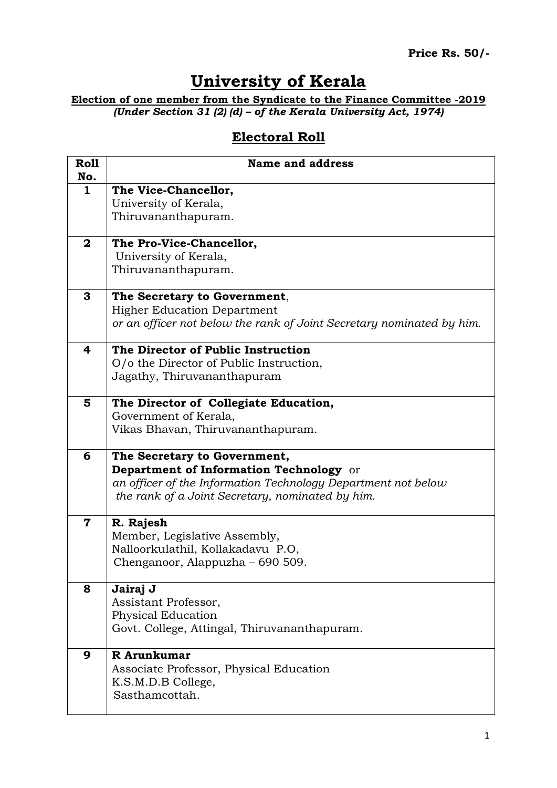## **University of Kerala**

**Election of one member from the Syndicate to the Finance Committee -2019** *(Under Section 31 (2) (d) – of the Kerala University Act, 1974)*

## **Electoral Roll**

| <b>Roll</b><br>No.      | <b>Name and address</b>                                                   |
|-------------------------|---------------------------------------------------------------------------|
| $\mathbf{1}$            | The Vice-Chancellor,                                                      |
|                         | University of Kerala,                                                     |
|                         | Thiruvananthapuram.                                                       |
| $\mathbf{2}$            | The Pro-Vice-Chancellor,                                                  |
|                         | University of Kerala,                                                     |
|                         | Thiruvananthapuram.                                                       |
| 3                       | The Secretary to Government,                                              |
|                         | <b>Higher Education Department</b>                                        |
|                         | or an officer not below the rank of Joint Secretary nominated by him.     |
| 4                       | The Director of Public Instruction                                        |
|                         | O/o the Director of Public Instruction,                                   |
|                         | Jagathy, Thiruvananthapuram                                               |
| 5                       | The Director of Collegiate Education,                                     |
|                         | Government of Kerala,                                                     |
|                         | Vikas Bhavan, Thiruvananthapuram.                                         |
| 6                       | The Secretary to Government,                                              |
|                         | Department of Information Technology or                                   |
|                         | an officer of the Information Technology Department not below             |
|                         | the rank of a Joint Secretary, nominated by him.                          |
| $\overline{\mathbf{7}}$ | R. Rajesh                                                                 |
|                         | Member, Legislative Assembly,                                             |
|                         | Nalloorkulathil, Kollakadavu P.O,<br>Chenganoor, Alappuzha – 690 509.     |
|                         |                                                                           |
| 8                       | Jairaj J                                                                  |
|                         | Assistant Professor,                                                      |
|                         | <b>Physical Education</b><br>Govt. College, Attingal, Thiruvananthapuram. |
|                         |                                                                           |
| 9                       | R Arunkumar                                                               |
|                         | Associate Professor, Physical Education                                   |
|                         | K.S.M.D.B College,<br>Sasthamcottah.                                      |
|                         |                                                                           |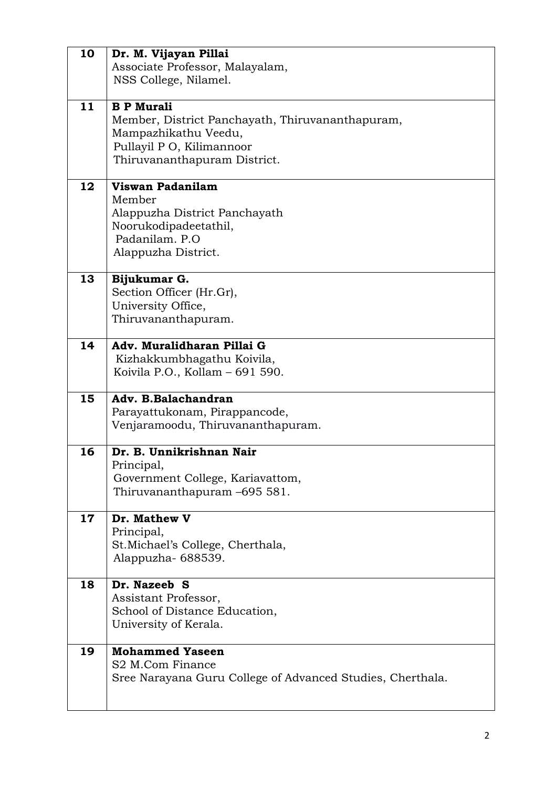| 10      | Dr. M. Vijayan Pillai                                      |
|---------|------------------------------------------------------------|
|         | Associate Professor, Malayalam,                            |
|         | NSS College, Nilamel.                                      |
|         |                                                            |
| 11      | <b>B P Murali</b>                                          |
|         | Member, District Panchayath, Thiruvananthapuram,           |
|         | Mampazhikathu Veedu,                                       |
|         | Pullayil P O, Kilimannoor                                  |
|         | Thiruvananthapuram District.                               |
|         |                                                            |
| 12      | Viswan Padanilam                                           |
|         | Member                                                     |
|         | Alappuzha District Panchayath                              |
|         | Noorukodipadeetathil,                                      |
|         | Padanilam. P.O.                                            |
|         | Alappuzha District.                                        |
|         |                                                            |
| 13      | Bijukumar G.                                               |
|         | Section Officer (Hr.Gr),                                   |
|         | University Office,                                         |
|         | Thiruvananthapuram.                                        |
|         |                                                            |
| 14      | Adv. Muralidharan Pillai G                                 |
|         | Kizhakkumbhagathu Koivila,                                 |
|         | Koivila P.O., Kollam - 691 590.                            |
|         |                                                            |
| 15      | Adv. B.Balachandran                                        |
|         | Parayattukonam, Pirappancode,                              |
|         | Venjaramoodu, Thiruvananthapuram.                          |
|         |                                                            |
| 16      | Dr. B. Unnikrishnan Nair                                   |
|         | Principal,                                                 |
|         | Government College, Kariavattom,                           |
|         | Thiruvananthapuram -695 581.                               |
|         |                                                            |
| $17 \,$ | Dr. Mathew V                                               |
|         | Principal,                                                 |
|         | St. Michael's College, Cherthala,                          |
|         | Alappuzha-688539.                                          |
| 18      | Dr. Nazeeb S                                               |
|         | Assistant Professor,                                       |
|         |                                                            |
|         | School of Distance Education,                              |
|         | University of Kerala.                                      |
| 19      | <b>Mohammed Yaseen</b>                                     |
|         | S2 M.Com Finance                                           |
|         | Sree Narayana Guru College of Advanced Studies, Cherthala. |
|         |                                                            |
|         |                                                            |